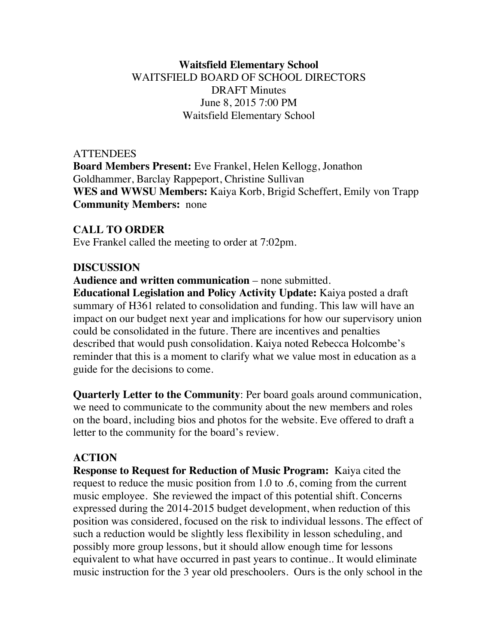## **Waitsfield Elementary School** WAITSFIELD BOARD OF SCHOOL DIRECTORS DRAFT Minutes June 8, 2015 7:00 PM Waitsfield Elementary School

**ATTENDEES Board Members Present:** Eve Frankel, Helen Kellogg, Jonathon Goldhammer, Barclay Rappeport, Christine Sullivan **WES and WWSU Members:** Kaiya Korb, Brigid Scheffert, Emily von Trapp **Community Members:** none

## **CALL TO ORDER**

Eve Frankel called the meeting to order at 7:02pm.

#### **DISCUSSION**

**Audience and written communication** – none submitted.

**Educational Legislation and Policy Activity Update:** Kaiya posted a draft summary of H361 related to consolidation and funding. This law will have an impact on our budget next year and implications for how our supervisory union could be consolidated in the future. There are incentives and penalties described that would push consolidation. Kaiya noted Rebecca Holcombe's reminder that this is a moment to clarify what we value most in education as a guide for the decisions to come.

**Quarterly Letter to the Community**: Per board goals around communication, we need to communicate to the community about the new members and roles on the board, including bios and photos for the website. Eve offered to draft a letter to the community for the board's review.

#### **ACTION**

**Response to Request for Reduction of Music Program:** Kaiya cited the request to reduce the music position from 1.0 to .6, coming from the current music employee. She reviewed the impact of this potential shift. Concerns expressed during the 2014-2015 budget development, when reduction of this position was considered, focused on the risk to individual lessons. The effect of such a reduction would be slightly less flexibility in lesson scheduling, and possibly more group lessons, but it should allow enough time for lessons equivalent to what have occurred in past years to continue.. It would eliminate music instruction for the 3 year old preschoolers. Ours is the only school in the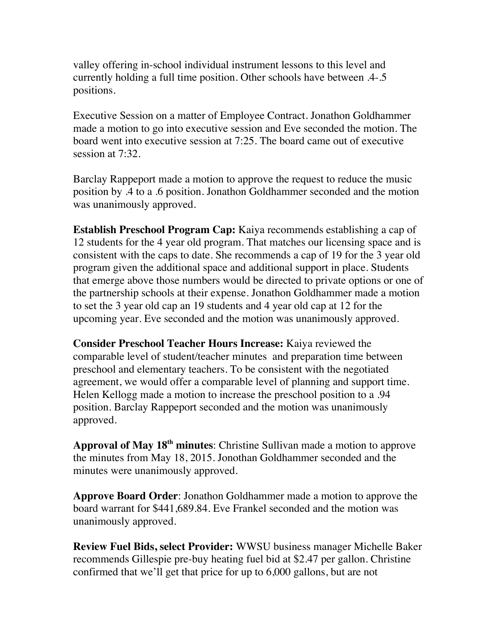valley offering in-school individual instrument lessons to this level and currently holding a full time position. Other schools have between .4-.5 positions.

Executive Session on a matter of Employee Contract. Jonathon Goldhammer made a motion to go into executive session and Eve seconded the motion. The board went into executive session at 7:25. The board came out of executive session at 7:32.

Barclay Rappeport made a motion to approve the request to reduce the music position by .4 to a .6 position. Jonathon Goldhammer seconded and the motion was unanimously approved.

**Establish Preschool Program Cap:** Kaiya recommends establishing a cap of 12 students for the 4 year old program. That matches our licensing space and is consistent with the caps to date. She recommends a cap of 19 for the 3 year old program given the additional space and additional support in place. Students that emerge above those numbers would be directed to private options or one of the partnership schools at their expense. Jonathon Goldhammer made a motion to set the 3 year old cap an 19 students and 4 year old cap at 12 for the upcoming year. Eve seconded and the motion was unanimously approved.

**Consider Preschool Teacher Hours Increase:** Kaiya reviewed the comparable level of student/teacher minutes and preparation time between preschool and elementary teachers. To be consistent with the negotiated agreement, we would offer a comparable level of planning and support time. Helen Kellogg made a motion to increase the preschool position to a .94 position. Barclay Rappeport seconded and the motion was unanimously approved.

Approval of May 18<sup>th</sup> minutes: Christine Sullivan made a motion to approve the minutes from May 18, 2015. Jonothan Goldhammer seconded and the minutes were unanimously approved.

**Approve Board Order**: Jonathon Goldhammer made a motion to approve the board warrant for \$441,689.84. Eve Frankel seconded and the motion was unanimously approved.

**Review Fuel Bids, select Provider:** WWSU business manager Michelle Baker recommends Gillespie pre-buy heating fuel bid at \$2.47 per gallon. Christine confirmed that we'll get that price for up to 6,000 gallons, but are not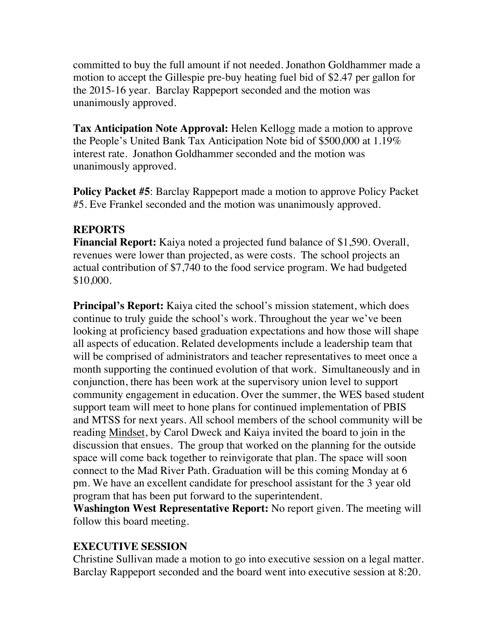committed to buy the full amount if not needed. Jonathon Goldhammer made a motion to accept the Gillespie pre-buy heating fuel bid of \$2.47 per gallon for the 2015-16 year. Barclay Rappeport seconded and the motion was unanimously approved.

**Tax Anticipation Note Approval:** Helen Kellogg made a motion to approve the People's United Bank Tax Anticipation Note bid of \$500,000 at 1.19% interest rate. Jonathon Goldhammer seconded and the motion was unanimously approved.

**Policy Packet #5**: Barclay Rappeport made a motion to approve Policy Packet #5. Eve Frankel seconded and the motion was unanimously approved.

# **REPORTS**

**Financial Report:** Kaiya noted a projected fund balance of \$1,590. Overall, revenues were lower than projected, as were costs. The school projects an actual contribution of \$7,740 to the food service program. We had budgeted \$10,000.

**Principal's Report:** Kaiya cited the school's mission statement, which does continue to truly guide the school's work. Throughout the year we've been looking at proficiency based graduation expectations and how those will shape all aspects of education. Related developments include a leadership team that will be comprised of administrators and teacher representatives to meet once a month supporting the continued evolution of that work. Simultaneously and in conjunction, there has been work at the supervisory union level to support community engagement in education. Over the summer, the WES based student support team will meet to hone plans for continued implementation of PBIS and MTSS for next years. All school members of the school community will be reading Mindset, by Carol Dweck and Kaiya invited the board to join in the discussion that ensues. The group that worked on the planning for the outside space will come back together to reinvigorate that plan. The space will soon connect to the Mad River Path. Graduation will be this coming Monday at 6 pm. We have an excellent candidate for preschool assistant for the 3 year old program that has been put forward to the superintendent.

**Washington West Representative Report:** No report given. The meeting will follow this board meeting.

# **EXECUTIVE SESSION**

Christine Sullivan made a motion to go into executive session on a legal matter. Barclay Rappeport seconded and the board went into executive session at 8:20.